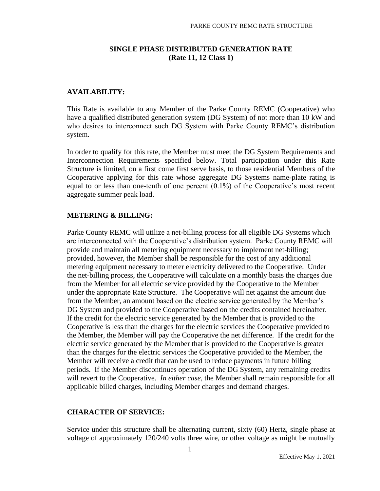### **SINGLE PHASE DISTRIBUTED GENERATION RATE (Rate 11, 12 Class 1)**

### **AVAILABILITY:**

This Rate is available to any Member of the Parke County REMC (Cooperative) who have a qualified distributed generation system (DG System) of not more than 10 kW and who desires to interconnect such DG System with Parke County REMC's distribution system.

In order to qualify for this rate, the Member must meet the DG System Requirements and Interconnection Requirements specified below. Total participation under this Rate Structure is limited, on a first come first serve basis, to those residential Members of the Cooperative applying for this rate whose aggregate DG Systems name-plate rating is equal to or less than one-tenth of one percent (0.1%) of the Cooperative's most recent aggregate summer peak load.

#### **METERING & BILLING:**

Parke County REMC will utilize a net-billing process for all eligible DG Systems which are interconnected with the Cooperative's distribution system. Parke County REMC will provide and maintain all metering equipment necessary to implement net-billing; provided, however, the Member shall be responsible for the cost of any additional metering equipment necessary to meter electricity delivered to the Cooperative. Under the net-billing process, the Cooperative will calculate on a monthly basis the charges due from the Member for all electric service provided by the Cooperative to the Member under the appropriate Rate Structure. The Cooperative will net against the amount due from the Member, an amount based on the electric service generated by the Member's DG System and provided to the Cooperative based on the credits contained hereinafter. If the credit for the electric service generated by the Member that is provided to the Cooperative is less than the charges for the electric services the Cooperative provided to the Member, the Member will pay the Cooperative the net difference. If the credit for the electric service generated by the Member that is provided to the Cooperative is greater than the charges for the electric services the Cooperative provided to the Member, the Member will receive a credit that can be used to reduce payments in future billing periods. If the Member discontinues operation of the DG System, any remaining credits will revert to the Cooperative. *In either case*, the Member shall remain responsible for all applicable billed charges, including Member charges and demand charges.

#### **CHARACTER OF SERVICE:**

Service under this structure shall be alternating current, sixty (60) Hertz, single phase at voltage of approximately 120/240 volts three wire, or other voltage as might be mutually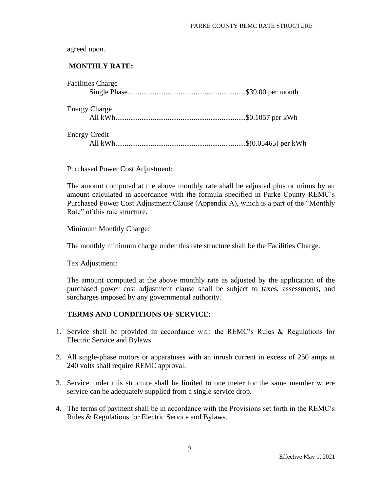agreed upon.

# **MONTHLY RATE:**

|                      | <b>Facilities Charge</b> |  |
|----------------------|--------------------------|--|
|                      |                          |  |
|                      | <b>Energy Charge</b>     |  |
|                      |                          |  |
| <b>Energy Credit</b> |                          |  |
|                      |                          |  |

Purchased Power Cost Adjustment:

The amount computed at the above monthly rate shall be adjusted plus or minus by an amount calculated in accordance with the formula specified in Parke County REMC's Purchased Power Cost Adjustment Clause (Appendix A), which is a part of the "Monthly Rate" of this rate structure.

Minimum Monthly Charge:

The monthly minimum charge under this rate structure shall be the Facilities Charge.

Tax Adjustment:

The amount computed at the above monthly rate as adjusted by the application of the purchased power cost adjustment clause shall be subject to taxes, assessments, and surcharges imposed by any governmental authority.

#### **TERMS AND CONDITIONS OF SERVICE:**

- 1. Service shall be provided in accordance with the REMC's Rules & Regulations for Electric Service and Bylaws.
- 2. All single-phase motors or apparatuses with an inrush current in excess of 250 amps at 240 volts shall require REMC approval.
- 3. Service under this structure shall be limited to one meter for the same member where service can be adequately supplied from a single service drop.
- 4. The terms of payment shall be in accordance with the Provisions set forth in the REMC's Rules & Regulations for Electric Service and Bylaws.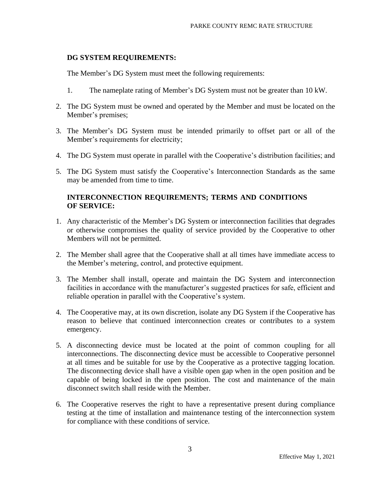#### **DG SYSTEM REQUIREMENTS:**

The Member's DG System must meet the following requirements:

- 1. The nameplate rating of Member's DG System must not be greater than 10 kW.
- 2. The DG System must be owned and operated by the Member and must be located on the Member's premises;
- 3. The Member's DG System must be intended primarily to offset part or all of the Member's requirements for electricity;
- 4. The DG System must operate in parallel with the Cooperative's distribution facilities; and
- 5. The DG System must satisfy the Cooperative's Interconnection Standards as the same may be amended from time to time.

## **INTERCONNECTION REQUIREMENTS; TERMS AND CONDITIONS OF SERVICE:**

- 1. Any characteristic of the Member's DG System or interconnection facilities that degrades or otherwise compromises the quality of service provided by the Cooperative to other Members will not be permitted.
- 2. The Member shall agree that the Cooperative shall at all times have immediate access to the Member's metering, control, and protective equipment.
- 3. The Member shall install, operate and maintain the DG System and interconnection facilities in accordance with the manufacturer's suggested practices for safe, efficient and reliable operation in parallel with the Cooperative's system.
- 4. The Cooperative may, at its own discretion, isolate any DG System if the Cooperative has reason to believe that continued interconnection creates or contributes to a system emergency.
- 5. A disconnecting device must be located at the point of common coupling for all interconnections. The disconnecting device must be accessible to Cooperative personnel at all times and be suitable for use by the Cooperative as a protective tagging location. The disconnecting device shall have a visible open gap when in the open position and be capable of being locked in the open position. The cost and maintenance of the main disconnect switch shall reside with the Member.
- 6. The Cooperative reserves the right to have a representative present during compliance testing at the time of installation and maintenance testing of the interconnection system for compliance with these conditions of service.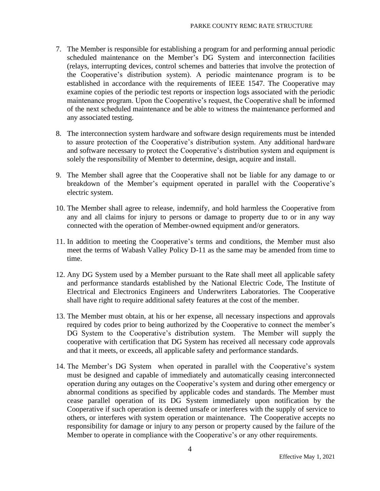- 7. The Member is responsible for establishing a program for and performing annual periodic scheduled maintenance on the Member's DG System and interconnection facilities (relays, interrupting devices, control schemes and batteries that involve the protection of the Cooperative's distribution system). A periodic maintenance program is to be established in accordance with the requirements of IEEE 1547. The Cooperative may examine copies of the periodic test reports or inspection logs associated with the periodic maintenance program. Upon the Cooperative's request, the Cooperative shall be informed of the next scheduled maintenance and be able to witness the maintenance performed and any associated testing.
- 8. The interconnection system hardware and software design requirements must be intended to assure protection of the Cooperative's distribution system. Any additional hardware and software necessary to protect the Cooperative's distribution system and equipment is solely the responsibility of Member to determine, design, acquire and install.
- 9. The Member shall agree that the Cooperative shall not be liable for any damage to or breakdown of the Member's equipment operated in parallel with the Cooperative's electric system.
- 10. The Member shall agree to release, indemnify, and hold harmless the Cooperative from any and all claims for injury to persons or damage to property due to or in any way connected with the operation of Member-owned equipment and/or generators.
- 11. In addition to meeting the Cooperative's terms and conditions, the Member must also meet the terms of Wabash Valley Policy D-11 as the same may be amended from time to time.
- 12. Any DG System used by a Member pursuant to the Rate shall meet all applicable safety and performance standards established by the National Electric Code, The Institute of Electrical and Electronics Engineers and Underwriters Laboratories. The Cooperative shall have right to require additional safety features at the cost of the member.
- 13. The Member must obtain, at his or her expense, all necessary inspections and approvals required by codes prior to being authorized by the Cooperative to connect the member's DG System to the Cooperative's distribution system. The Member will supply the cooperative with certification that DG System has received all necessary code approvals and that it meets, or exceeds, all applicable safety and performance standards.
- 14. The Member's DG System when operated in parallel with the Cooperative's system must be designed and capable of immediately and automatically ceasing interconnected operation during any outages on the Cooperative's system and during other emergency or abnormal conditions as specified by applicable codes and standards. The Member must cease parallel operation of its DG System immediately upon notification by the Cooperative if such operation is deemed unsafe or interferes with the supply of service to others, or interferes with system operation or maintenance. The Cooperative accepts no responsibility for damage or injury to any person or property caused by the failure of the Member to operate in compliance with the Cooperative's or any other requirements.